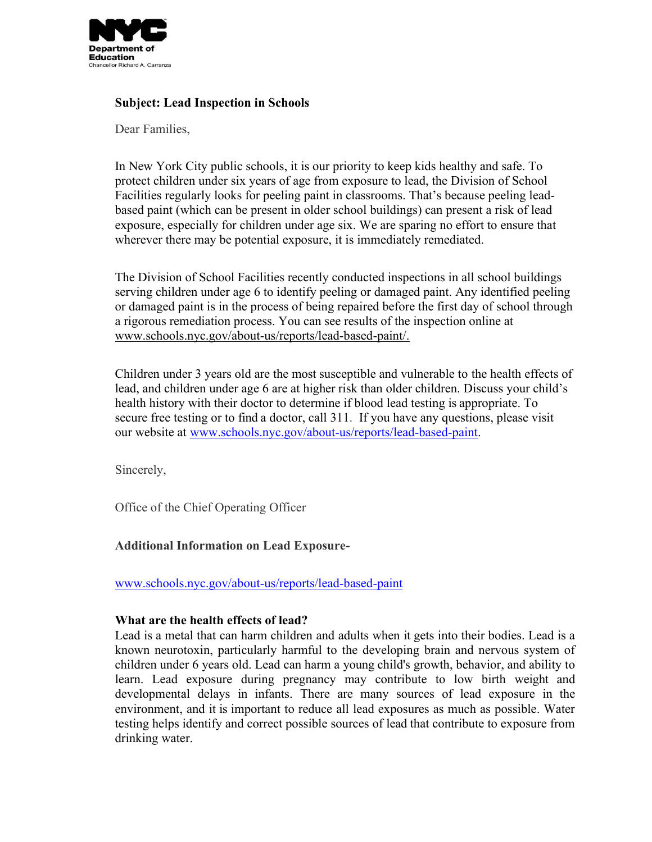

# **Subject: Lead Inspection in Schools**

Dear Families,

In New York City public schools, it is our priority to keep kids healthy and safe. To protect children under six years of age from exposure to lead, the Division of School Facilities regularly looks for peeling paint in classrooms. That's because peeling leadbased paint (which can be present in older school buildings) can present a risk of lead exposure, especially for children under age six. We are sparing no effort to ensure that wherever there may be potential exposure, it is immediately remediated.

The Division of School Facilities recently conducted inspections in all school buildings serving children under age 6 to identify peeling or damaged paint. Any identified peeling or damaged paint is in the process of being repaired before the first day of school through a rigorous remediation process. You can see results of the inspection online at [www.schools.nyc.gov/about-us/reports/lead-based-paint/.](http://www.schools.nyc.gov/about-us/reports/lead-based-paint/)

Children under 3 years old are the most susceptible and vulnerable to the health effects of lead, and children under age 6 are at higher risk than older children. Discuss your child's health history with their doctor to determine if blood lead testing is appropriate. To secure free testing or to find a doctor, call 311. If you have any questions, please visit our website at [www.schools.nyc.gov/about-us/reports/lead-based-paint.](http://www.schools.nyc.gov/about-us/reports/lead-based-paint)

Sincerely,

Office of the Chief Operating Officer

### **Additional Information on Lead Exposure-**

[www.schools.nyc.gov/about-us/reports/lead-based-paint](http://www.schools.nyc.gov/about-us/reports/lead-based-paint)

### **What are the health effects of lead?**

Lead is a metal that can harm children and adults when it gets into their bodies. Lead is a known neurotoxin, particularly harmful to the developing brain and nervous system of children under 6 years old. Lead can harm a young child's growth, behavior, and ability to learn. Lead exposure during pregnancy may contribute to low birth weight and developmental delays in infants. There are many sources of lead exposure in the environment, and it is important to reduce all lead exposures as much as possible. Water testing helps identify and correct possible sources of lead that contribute to exposure from drinking water.